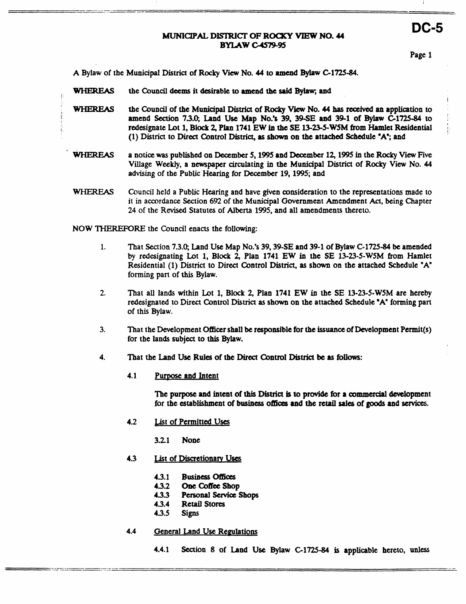# **DC-5 MUNICIPAL DISTRICT OF ROCKY VIEW NO. 44 BYIAWc4sIp.95**

Page **1** 

j.

:

A Bylaw of the Municipal District of Rocky View No. 44 to amend Bylaw C-1725-84.

- WHEREAS the &uncil **deems** it desirable **to amend the** said **Bylw, and**
- ;WHEREAS the Council of the Municipal District of Rocky View No. 44 has received an application to **amend Section 73.0; Land Use Map No.% 39, 39sE and 39-1 of Bylaw C1725-84 to**  redesignate Lot **1,** Block **2, Plan 1741 EW** *ia* the **SE 1323-5-WSM from** Hamlet Residential **(1)** District **to Direct** Control **District, as shown on the** attached Schedule **'A';** and
- **WHEREAS a notice was** published **on December 5,1995 and** December **12,1995** in the **Rocky** View Five Village **Weekly, <sup>a</sup>newspaper** circulating in the **Muniapal District** of **Rocky** View No. **44**  advising of the Public **Hearing** for **December 19,1995;** and
- WHEREAS **Council** held a **Public Hearing** and have given consideration to the representations made to it in accordance Section *692* of the **Municipal** Government Amendment *Act,* being Chapter **24** of the **Revised** Statutes of **Alberta 1995,** and all amendments thereto.

**NOW THEREFORE** the Council enacts the following:

I

I: ti I

- **1.** That Section **7.3.0,** Land **Use** Map **No.% 39,39-SE** and **39-1 of** Bylaw **C-1725-84 be** amended **by** redesignating Lot **1,** Block **2,** Plan **1741 EW** in the **SE 13-23-5-WSM from** Hamlet Residential **(1)** District **to** Direct Control District, *8s* **shown on** the attached Schedule **"A" forming** part **ol this** Bylaw.
- **2.** That all lands within Lnt **1,** Block 2, Plan **1741 EW** in **the SE 13-23-5-WSM** are hereby redesignated to Direct Control **District as shown on** the attached Schedule **'A"** forming part of this Bylaw.
- **3,** That the Development Officer shall **be rsponsible** for **the issuance** of Development Permit@) for the lands **subject to** this **Bylaw.**
- **4.** That the Land **Use** Rules of the **Direct** Control **District be as follows:** 
	- **4.1** Purpose and Intent

The purpose and intent of **this District is to provjdc** for **a commetdal** dcvefopment for the establishment of **business ofioes and** the retail **sales** of goods **and scwices.** 

- **4.2** &.kit of Permitted **Uses** 
	- **3.21 None**
- **4.3** List of Discretionary Uses
	- **4.3.1 Busiaess** *ofticts*
	- **4.3.2 One Coffee Shop 4.3.3 Personal Service 9.**
	- **433 Personal Service Shops**
	- **43.4 Retail** Stores
	- **43.5** Signs
- **4.4** General Land Use Regulations
	- **4.4.1** Section **8** of **Land Use** Bylaw **C1725-84 is** applicable hereto, **unless**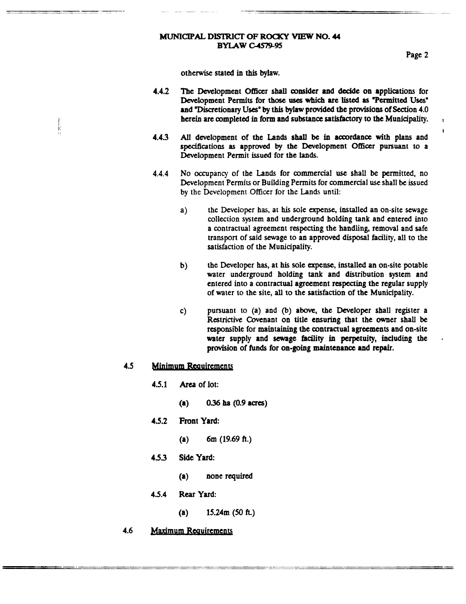## **MUNICIPAL DISTRICT OF ROCKY VIEW NO. 44 BYLAW C-4579-95**

Page **2** 

I **I** 

otherwise stated in **this** bylaw.

- **4.4.2** ?be Development Officer **shall** consider **and** decide **on** applications for Development Permits for **those uses which are listed as** "Permitted **Uses" and** Piscretionary **Uses'** by **this** bylaw provided **the** provisions of **Section 4.0**  herein **arc** mmpleted in form and **substance satisfactory to** the **Municipality.**
- All development of the Lands shall be in accordance with plans and specifications **as** approved **by** the Development **Officer** pursuant **to** a Development Permit **issued** for the lands. **4.43**
- **4.4.4** No occupancy of the **Lands** for commercial use shall **be** permitted, no Development Permits or Building Permits for commercial use shall **be issued by** the Development **Officer** for the Lands until:
	- **a) the** Developer has, at **his sole** *expense,* installed an on-site **sewage**  collection system and underground holding **tank** and entered into **a** contractual agreement **respecting** the handling, removal and safe transport of said sewage **to** an approved disposal facility, all to the satisfaction of the **Municipality.**
	- **b)** the Developer has, at his sole **expense,** installed **an** on-site potable water underground holding tank and distribution system and entered into a contractual agreement respecting the regular supply of water **to** the site, **all to** *the* satisfaction *of* the Municipality.
	- c) **pursuant to (a) and (b) above, the Developer shall register a Restrictive** Covenant **on** title **ensuring that** the mer shall **be**  responsible for **maintaining the** contractual agreements and on-site water supply and sewage facility in perpetuity, **including** the provision of **funds** for **on-going maintenance** and **repair.**

# **4.5 • Minimum Requirements**

书店

- **4.5.1** *Area* of lot:
	- **(a)** *0.36* **ha** *(0.9* **acres)**
- **4.5.2** Front **Yard:** 
	- (a) **6m (19.69 ft.)**
- **453 Side** Yard:
	- **(a) none** required
- **4.5.4 Rear Yard:** 
	- $(a)$  **15.24m** (50 ft.)
- **4.6 Maximum Requirements**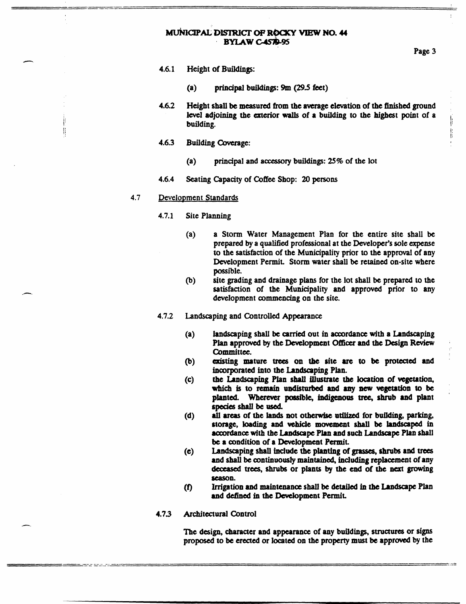### MUNICIPAL DISTRICT OF ROCKY VIEW NO. 44 BYLAW C-4579-95

**Page 3** 

I: Ii *I* 

- **4.6.1** Height of **Buildings:** 
	- **(a) principal buildings: 9m** *(29.5* feet)
- **4.6.2** Height shall **be** measured **from the** average **elevation of the finished ground level adjoining** the **exterior WBUS** of **a** building **to the** highest point of **a building.**
- **4.6.3 Building** Coverage:
	- **(a) principal and accessory buildings: 25% of** the lot
- **4.6.4 Seating Capacity of Coffee Shop:** *20* **persons**

### 4.7 **Development Standards**

Æ

- **4.7.1** Site **Planning** 
	- (a) **a** Storm Water Management Plan for the entire site shall **be**  prepared **by a qualified** professional at the Developer's sole **expense**  to the satisfaction of the Municipality prior to the approval of any Development Permit. Storm water shall **be** retained on-site where possible.
	- site **grading** and drainage plans for the lot **shall be prepared** to **the**  satisfaction of **the** Municipality **and** approved prior **to any**  development commencing **on** the site. @)
- **4.7.2 Landscaping and Controlled Appearance** 
	- **(a)**  landscaping shall be carried out in accordance with a **Landscaping Plan** approved **by** the Development *CMicer* **and the Design Review**  Committee.
	- @) **dting mature ttees on tbc site** *arc* **to be protected and incoprated into the Lurdseopping Plan.**
	- **(e)**  the Landscaping Plan shall illustrate the location of vegetation, **which is to remain undisturbed and** *my* **new vegetation to be planted Wherever ~Jc, indigenous** tree, **shrub md** plant species shall be used.
	- **all areas of the** lands **not otherwise** utilized for **building, parking, storage, bading and** vehicle **movement shall be landscaped in accordance with** *the* **Landscape Plan and such Lnndscape Plan shall be a andition of a Deveroprnent Permit. (d)**
	- **Landscaping shall include the planting of** *grasses,* **shrubs and trecs and shall be mntinuously maintained, hduding replacement** *of* **any deooased trees, shrubs or** plants **by** the **end** of **the** next **groWing season. (e)**
	- **Irrigation and maintenance shall be detailed** *in the* **Landscape Plan**  and defined in the Development Permit. *(f)*
- **4.7.3 Architectural Control**

**The design,** character **and** appearance of **any buildings, structures or signs proposed to be** erected **or** located **on the** property must **be apprd by** the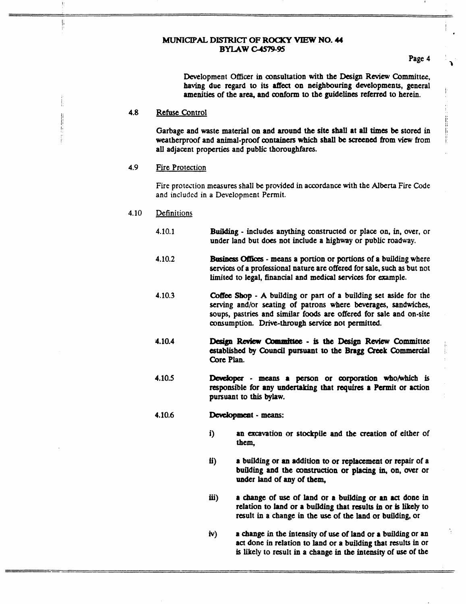### MUNICIPAL **DISTRICT OF ROQCY** VIEW **NO. 44 BYIAWcJs19-95**

**<sup>I</sup>I** 

Page **4** 

 $^{\mathrm{i}}$  .

**P** 

**I.** 

ii **ii**   $\mathfrak{h}$ I

I.

Development **Officer** in consultation **with** the Design **Review** Committee, **having** due regard *to* its *affect* **on** neighbouring developments, general amenities of the area, and **oonfonn** *to* the guidelines referred to herein.

#### **4.8 Refuse** Control

Ii Ij

 $\begin{matrix} \phantom{-} \\ \phantom{-} \end{matrix}$ 

Garbage and waste material on and **around** the **site shall at all times be** stored in weatherproof and animal-proof **containers** which **shall be screened from view from**  all adjacent properties and public thoroughfares.

#### **4.9**  Fire Protection

Fire protestion **measures** shall **be prokided** in accordance with the **Alberta Fire** Code **and included in a Development Permit.** 

#### **4.10 Definitions**

- **4.10.1 Building**  includes **anything** constructed or place on, in, over, or under land but does not include a highway or public roadway.
- **4.10.2** &siDess **means** a portion or **portions** of **a building** where **services** of **a** professional nature are offered for sale, such **as** but not limited to legal, financial and medical **services** for example.
- **4.10.3 Coffee Shop - A building or part of a building set aside for the serving** and/or seating of patrons where **beverages, sandwiches, soups,** pastries and **similar** foods are offered for **sale** and on-site **consumption. Drive-through service** not permitted.
- **4.10.4 Design Review Committee - is the Design Review Committee established by Council** pursuant **to** the **Bngg Creek** Commercial **Core Plan.**
- **4.10.5**  *Devdopa* - **means a person or oorporation who/which** is responsible for **any undertaking** that requires **a Permit or action**  pursuant *to* **this bylaw.**
- **4.10.6 Development** - means:
	- i) an excavation or stockpile and the creation of either of them,
	- *ii)* **a** building or **an** addition **to or replacement** or repair **of** a building **and the construction or** placing **in, on,** Over or under land of **any** of **tbem,**
	- **iii) a** change of *use* of **land** or **a** building or **an** *act* done in relation to land or **a** building that **results** in or **is likely** to result **in a** change **in the** use **of the** land or building, or
	- **h) a change** *in* **the** intensity of use of land **or a** building or **an act** done in relation **to** land or **a** building that results **in** or is likely **to** result in **a** change in **the** intensity of **ust** of **the**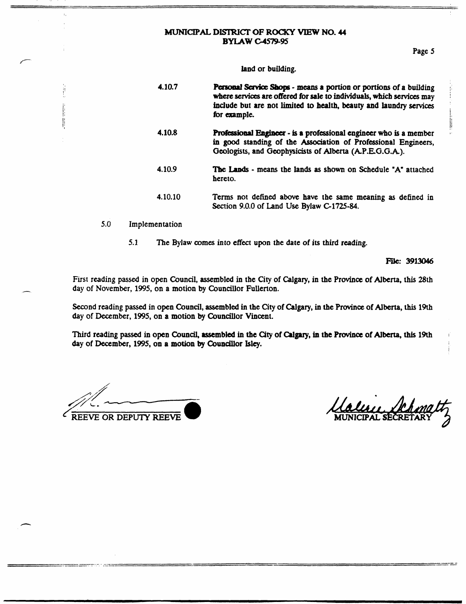### **MUNICIPAL DISTRICT OF ROCKY VIEW NO. 44 BYLAW C-4579-95**

! i '

ji

### **land or building.**

- **4.10.7 Pasod Serviat** *Sbp*  **means a portion or portions of a building where services are offered for sale** *to* **individuals, whicb services may**  include but are not limited to health, beauty and laundry services **4.10.8 Professional Engineer** - is a professional engineer who is a member **in good standing of the Association of Professional Engineers, Geologists, and Geophysicists of Alberta (AP.EG.G.A).**  for example. **4.10.9 Tbe** Lands - **mans the lands as shown on Schedule "A" attached hereto. 4.10.10 Terms not defined above have the same meaning as defined in Section 9.0.0 of Land Use Bylaw C-1725-84.**
- **5.0 implementation**

I !'

**5.1 The Bylaw comes into effect upon the date of its** *third* **reading.** 

**File: 3913046** 

First reading passed in open Council, assembled in the City of Calgary, in the Province of Alberta, this 28th **day of November, 1995, on a motion by Councillor Fullerton.** 

**second reading passed in open Council, assembled in the City of** Calgary, **in the Province of Alberta,** this **19th day of December, 1995, on a motion by Councillor Vincent.** 

**Third reading passed in open Council, assembkd in the City of** *Calgary,* **in the** PIOvinae **of Alberta, thls 19th day of December, 1995, on a motion by Councillor bky.** 

**VE OR DEPUTY REEVE** 

UULLE CHE